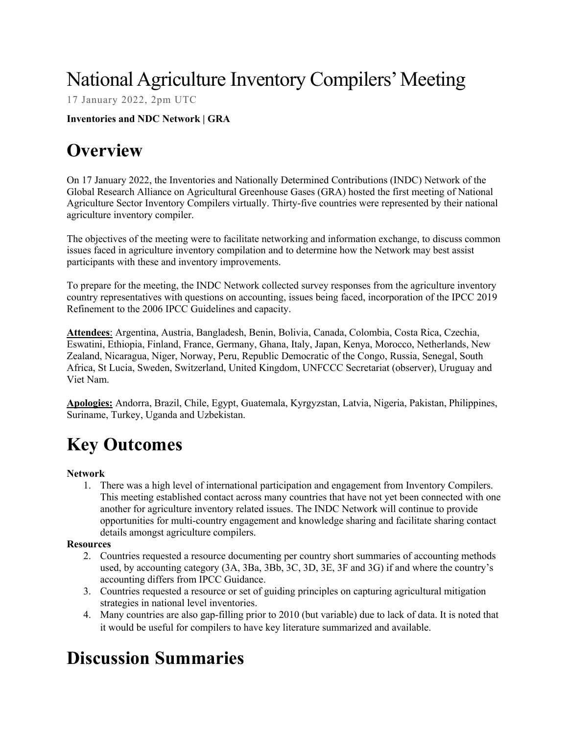# National Agriculture Inventory Compilers' Meeting

17 January 2022, 2pm UTC

**Inventories and NDC Network | GRA**

# **Overview**

On 17 January 2022, the Inventories and Nationally Determined Contributions (INDC) Network of the Global Research Alliance on Agricultural Greenhouse Gases (GRA) hosted the first meeting of National Agriculture Sector Inventory Compilers virtually. Thirty-five countries were represented by their national agriculture inventory compiler.

The objectives of the meeting were to facilitate networking and information exchange, to discuss common issues faced in agriculture inventory compilation and to determine how the Network may best assist participants with these and inventory improvements.

To prepare for the meeting, the INDC Network collected survey responses from the agriculture inventory country representatives with questions on accounting, issues being faced, incorporation of the IPCC 2019 Refinement to the 2006 IPCC Guidelines and capacity.

**Attendees**: Argentina, Austria, Bangladesh, Benin, Bolivia, Canada, Colombia, Costa Rica, Czechia, Eswatini, Ethiopia, Finland, France, Germany, Ghana, Italy, Japan, Kenya, Morocco, Netherlands, New Zealand, Nicaragua, Niger, Norway, Peru, Republic Democratic of the Congo, Russia, Senegal, South Africa, St Lucia, Sweden, Switzerland, United Kingdom, UNFCCC Secretariat (observer), Uruguay and Viet Nam.

**Apologies:** Andorra, Brazil, Chile, Egypt, Guatemala, Kyrgyzstan, Latvia, Nigeria, Pakistan, Philippines, Suriname, Turkey, Uganda and Uzbekistan.

# **Key Outcomes**

## **Network**

1. There was a high level of international participation and engagement from Inventory Compilers. This meeting established contact across many countries that have not yet been connected with one another for agriculture inventory related issues. The INDC Network will continue to provide opportunities for multi-country engagement and knowledge sharing and facilitate sharing contact details amongst agriculture compilers.

## **Resources**

- 2. Countries requested a resource documenting per country short summaries of accounting methods used, by accounting category (3A, 3Ba, 3Bb, 3C, 3D, 3E, 3F and 3G) if and where the country's accounting differs from IPCC Guidance.
- 3. Countries requested a resource or set of guiding principles on capturing agricultural mitigation strategies in national level inventories.
- 4. Many countries are also gap-filling prior to 2010 (but variable) due to lack of data. It is noted that it would be useful for compilers to have key literature summarized and available.

# **Discussion Summaries**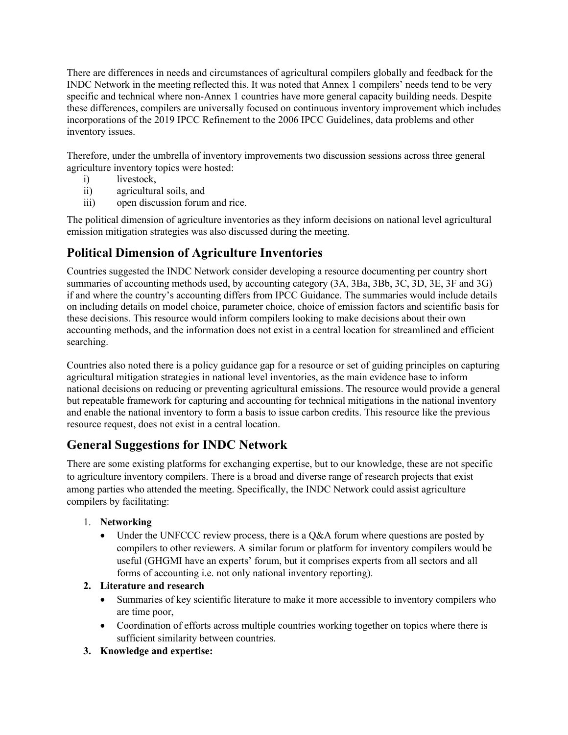There are differences in needs and circumstances of agricultural compilers globally and feedback for the INDC Network in the meeting reflected this. It was noted that Annex 1 compilers' needs tend to be very specific and technical where non-Annex 1 countries have more general capacity building needs. Despite these differences, compilers are universally focused on continuous inventory improvement which includes incorporations of the 2019 IPCC Refinement to the 2006 IPCC Guidelines, data problems and other inventory issues.

Therefore, under the umbrella of inventory improvements two discussion sessions across three general agriculture inventory topics were hosted:

- i) livestock,
- ii) agricultural soils, and
- iii) open discussion forum and rice.

The political dimension of agriculture inventories as they inform decisions on national level agricultural emission mitigation strategies was also discussed during the meeting.

# **Political Dimension of Agriculture Inventories**

Countries suggested the INDC Network consider developing a resource documenting per country short summaries of accounting methods used, by accounting category (3A, 3Ba, 3Bb, 3C, 3D, 3E, 3F and 3G) if and where the country's accounting differs from IPCC Guidance. The summaries would include details on including details on model choice, parameter choice, choice of emission factors and scientific basis for these decisions. This resource would inform compilers looking to make decisions about their own accounting methods, and the information does not exist in a central location for streamlined and efficient searching.

Countries also noted there is a policy guidance gap for a resource or set of guiding principles on capturing agricultural mitigation strategies in national level inventories, as the main evidence base to inform national decisions on reducing or preventing agricultural emissions. The resource would provide a general but repeatable framework for capturing and accounting for technical mitigations in the national inventory and enable the national inventory to form a basis to issue carbon credits. This resource like the previous resource request, does not exist in a central location.

# **General Suggestions for INDC Network**

There are some existing platforms for exchanging expertise, but to our knowledge, these are not specific to agriculture inventory compilers. There is a broad and diverse range of research projects that exist among parties who attended the meeting. Specifically, the INDC Network could assist agriculture compilers by facilitating:

## 1. **Networking**

- Under the UNFCCC review process, there is a Q&A forum where questions are posted by compilers to other reviewers. A similar forum or platform for inventory compilers would be useful (GHGMI have an experts' forum, but it comprises experts from all sectors and all forms of accounting i.e. not only national inventory reporting).
- **2. Literature and research**
	- Summaries of key scientific literature to make it more accessible to inventory compilers who are time poor,
	- Coordination of efforts across multiple countries working together on topics where there is sufficient similarity between countries.
- **3. Knowledge and expertise:**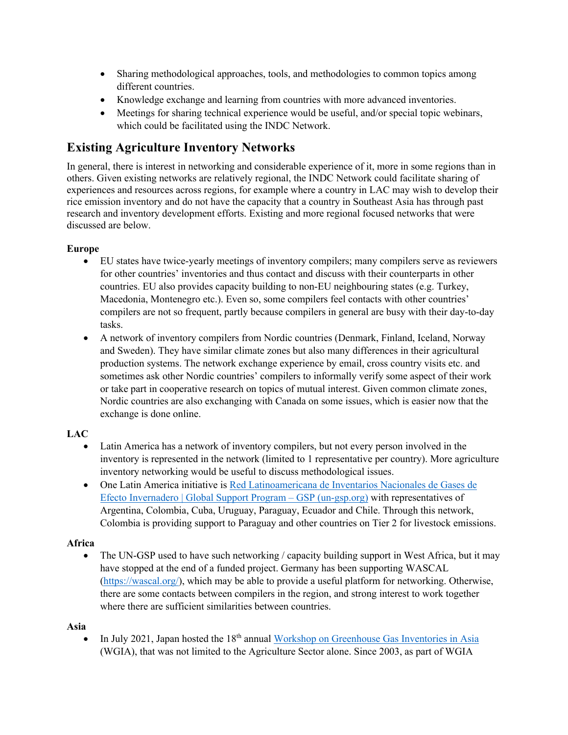- Sharing methodological approaches, tools, and methodologies to common topics among different countries.
- Knowledge exchange and learning from countries with more advanced inventories.
- Meetings for sharing technical experience would be useful, and/or special topic webinars, which could be facilitated using the INDC Network.

# **Existing Agriculture Inventory Networks**

In general, there is interest in networking and considerable experience of it, more in some regions than in others. Given existing networks are relatively regional, the INDC Network could facilitate sharing of experiences and resources across regions, for example where a country in LAC may wish to develop their rice emission inventory and do not have the capacity that a country in Southeast Asia has through past research and inventory development efforts. Existing and more regional focused networks that were discussed are below.

## **Europe**

- EU states have twice-yearly meetings of inventory compilers; many compilers serve as reviewers for other countries' inventories and thus contact and discuss with their counterparts in other countries. EU also provides capacity building to non-EU neighbouring states (e.g. Turkey, Macedonia, Montenegro etc.). Even so, some compilers feel contacts with other countries' compilers are not so frequent, partly because compilers in general are busy with their day-to-day tasks.
- A network of inventory compilers from Nordic countries (Denmark, Finland, Iceland, Norway and Sweden). They have similar climate zones but also many differences in their agricultural production systems. The network exchange experience by email, cross country visits etc. and sometimes ask other Nordic countries' compilers to informally verify some aspect of their work or take part in cooperative research on topics of mutual interest. Given common climate zones, Nordic countries are also exchanging with Canada on some issues, which is easier now that the exchange is done online.

# **LAC**

- Latin America has a network of inventory compilers, but not every person involved in the inventory is represented in the network (limited to 1 representative per country). More agriculture inventory networking would be useful to discuss methodological issues.
- One Latin America initiative is Red Latinoamericana de Inventarios Nacionales de Gases de Efecto Invernadero | Global Support Program – GSP (un-gsp.org) with representatives of Argentina, Colombia, Cuba, Uruguay, Paraguay, Ecuador and Chile. Through this network, Colombia is providing support to Paraguay and other countries on Tier 2 for livestock emissions.

# **Africa**

• The UN-GSP used to have such networking / capacity building support in West Africa, but it may have stopped at the end of a funded project. Germany has been supporting WASCAL (https://wascal.org/), which may be able to provide a useful platform for networking. Otherwise, there are some contacts between compilers in the region, and strong interest to work together where there are sufficient similarities between countries.

## **Asia**

In July 2021, Japan hosted the 18<sup>th</sup> annual Workshop on Greenhouse Gas Inventories in Asia (WGIA), that was not limited to the Agriculture Sector alone. Since 2003, as part of WGIA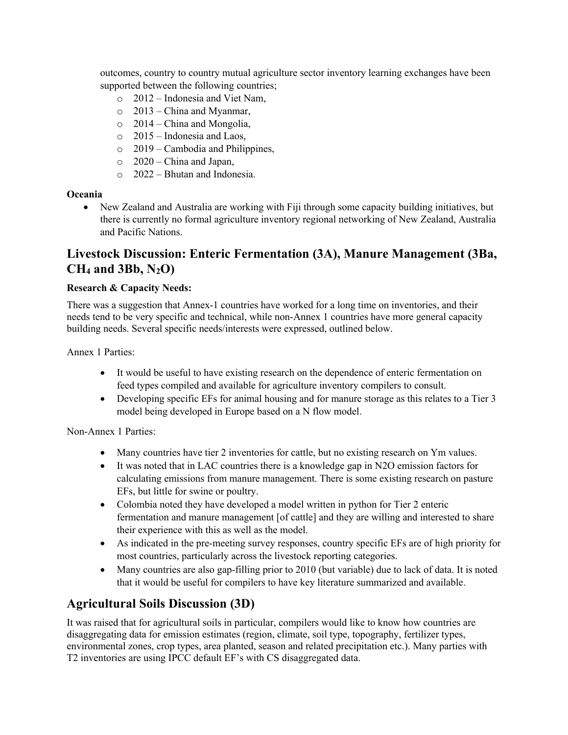outcomes, country to country mutual agriculture sector inventory learning exchanges have been supported between the following countries;

- o 2012 Indonesia and Viet Nam,
- o 2013 China and Myanmar,
- o 2014 China and Mongolia,
- o 2015 Indonesia and Laos,
- $\circ$  2019 Cambodia and Philippines,
- $\circ$  2020 China and Japan,
- o 2022 Bhutan and Indonesia.

#### **Oceania**

• New Zealand and Australia are working with Fiji through some capacity building initiatives, but there is currently no formal agriculture inventory regional networking of New Zealand, Australia and Pacific Nations.

# **Livestock Discussion: Enteric Fermentation (3A), Manure Management (3Ba, CH4 and 3Bb, N2O)**

### **Research & Capacity Needs:**

There was a suggestion that Annex-1 countries have worked for a long time on inventories, and their needs tend to be very specific and technical, while non-Annex 1 countries have more general capacity building needs. Several specific needs/interests were expressed, outlined below.

Annex 1 Parties:

- It would be useful to have existing research on the dependence of enteric fermentation on feed types compiled and available for agriculture inventory compilers to consult.
- Developing specific EFs for animal housing and for manure storage as this relates to a Tier 3 model being developed in Europe based on a N flow model.

Non-Annex 1 Parties:

- Many countries have tier 2 inventories for cattle, but no existing research on Ym values.
- It was noted that in LAC countries there is a knowledge gap in N2O emission factors for calculating emissions from manure management. There is some existing research on pasture EFs, but little for swine or poultry.
- Colombia noted they have developed a model written in python for Tier 2 enteric fermentation and manure management [of cattle] and they are willing and interested to share their experience with this as well as the model.
- As indicated in the pre-meeting survey responses, country specific EFs are of high priority for most countries, particularly across the livestock reporting categories.
- Many countries are also gap-filling prior to 2010 (but variable) due to lack of data. It is noted that it would be useful for compilers to have key literature summarized and available.

# **Agricultural Soils Discussion (3D)**

It was raised that for agricultural soils in particular, compilers would like to know how countries are disaggregating data for emission estimates (region, climate, soil type, topography, fertilizer types, environmental zones, crop types, area planted, season and related precipitation etc.). Many parties with T2 inventories are using IPCC default EF's with CS disaggregated data.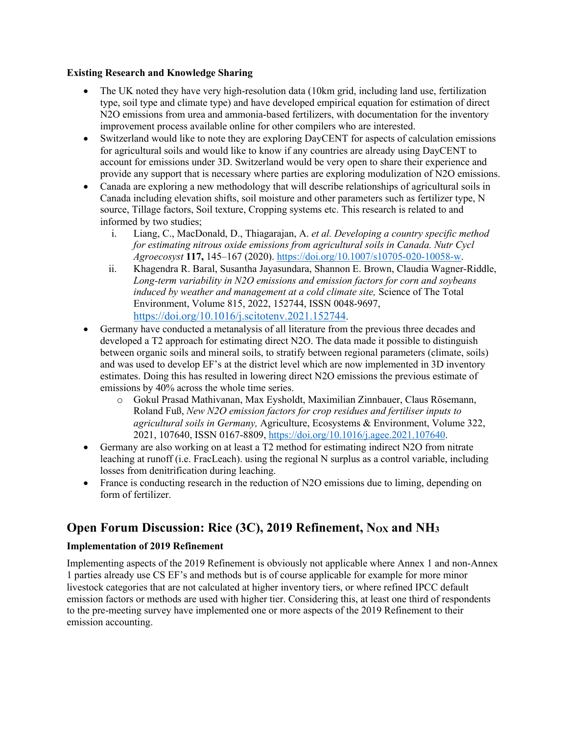#### **Existing Research and Knowledge Sharing**

- The UK noted they have very high-resolution data (10km grid, including land use, fertilization type, soil type and climate type) and have developed empirical equation for estimation of direct N2O emissions from urea and ammonia-based fertilizers, with documentation for the inventory improvement process available online for other compilers who are interested.
- Switzerland would like to note they are exploring DayCENT for aspects of calculation emissions for agricultural soils and would like to know if any countries are already using DayCENT to account for emissions under 3D. Switzerland would be very open to share their experience and provide any support that is necessary where parties are exploring modulization of N2O emissions.
- Canada are exploring a new methodology that will describe relationships of agricultural soils in Canada including elevation shifts, soil moisture and other parameters such as fertilizer type, N source, Tillage factors, Soil texture, Cropping systems etc. This research is related to and informed by two studies;
	- i. Liang, C., MacDonald, D., Thiagarajan, A. *et al. Developing a country specific method for estimating nitrous oxide emissions from agricultural soils in Canada. Nutr Cycl Agroecosyst* **117,** 145–167 (2020). https://doi.org/10.1007/s10705-020-10058-w.
	- ii. Khagendra R. Baral, Susantha Jayasundara, Shannon E. Brown, Claudia Wagner-Riddle, *Long-term variability in N2O emissions and emission factors for corn and soybeans induced by weather and management at a cold climate site,* Science of The Total Environment, Volume 815, 2022, 152744, ISSN 0048-9697, https://doi.org/10.1016/j.scitotenv.2021.152744.
- Germany have conducted a metanalysis of all literature from the previous three decades and developed a T2 approach for estimating direct N2O. The data made it possible to distinguish between organic soils and mineral soils, to stratify between regional parameters (climate, soils) and was used to develop EF's at the district level which are now implemented in 3D inventory estimates. Doing this has resulted in lowering direct N2O emissions the previous estimate of emissions by 40% across the whole time series.
	- o Gokul Prasad Mathivanan, Max Eysholdt, Maximilian Zinnbauer, Claus Rösemann, Roland Fuß, *New N2O emission factors for crop residues and fertiliser inputs to agricultural soils in Germany,* Agriculture, Ecosystems & Environment, Volume 322, 2021, 107640, ISSN 0167-8809, https://doi.org/10.1016/j.agee.2021.107640.
- Germany are also working on at least a T2 method for estimating indirect N2O from nitrate leaching at runoff (i.e. FracLeach). using the regional N surplus as a control variable, including losses from denitrification during leaching.
- France is conducting research in the reduction of N2O emissions due to liming, depending on form of fertilizer.

# **Open Forum Discussion: Rice (3C), 2019 Refinement, Nox and NH<sub>3</sub>**

## **Implementation of 2019 Refinement**

Implementing aspects of the 2019 Refinement is obviously not applicable where Annex 1 and non-Annex 1 parties already use CS EF's and methods but is of course applicable for example for more minor livestock categories that are not calculated at higher inventory tiers, or where refined IPCC default emission factors or methods are used with higher tier. Considering this, at least one third of respondents to the pre-meeting survey have implemented one or more aspects of the 2019 Refinement to their emission accounting.